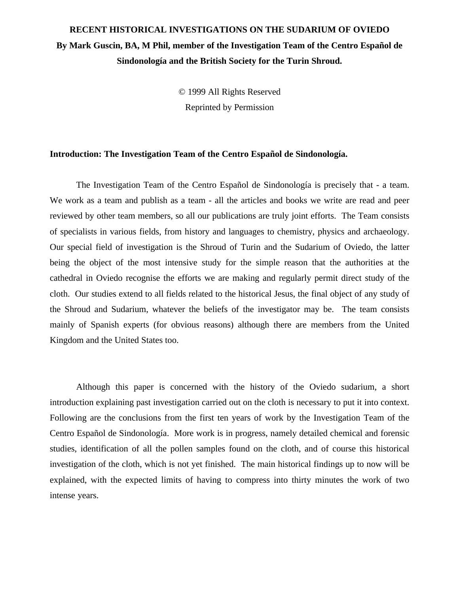# **RECENT HISTORICAL INVESTIGATIONS ON THE SUDARIUM OF OVIEDO By Mark Guscin, BA, M Phil, member of the Investigation Team of the Centro Español de Sindonología and the British Society for the Turin Shroud.**

© 1999 All Rights Reserved Reprinted by Permission

## **Introduction: The Investigation Team of the Centro Español de Sindonología.**

The Investigation Team of the Centro Español de Sindonología is precisely that - a team. We work as a team and publish as a team - all the articles and books we write are read and peer reviewed by other team members, so all our publications are truly joint efforts. The Team consists of specialists in various fields, from history and languages to chemistry, physics and archaeology. Our special field of investigation is the Shroud of Turin and the Sudarium of Oviedo, the latter being the object of the most intensive study for the simple reason that the authorities at the cathedral in Oviedo recognise the efforts we are making and regularly permit direct study of the cloth. Our studies extend to all fields related to the historical Jesus, the final object of any study of the Shroud and Sudarium, whatever the beliefs of the investigator may be. The team consists mainly of Spanish experts (for obvious reasons) although there are members from the United Kingdom and the United States too.

Although this paper is concerned with the history of the Oviedo sudarium, a short introduction explaining past investigation carried out on the cloth is necessary to put it into context. Following are the conclusions from the first ten years of work by the Investigation Team of the Centro Español de Sindonología. More work is in progress, namely detailed chemical and forensic studies, identification of all the pollen samples found on the cloth, and of course this historical investigation of the cloth, which is not yet finished. The main historical findings up to now will be explained, with the expected limits of having to compress into thirty minutes the work of two intense years.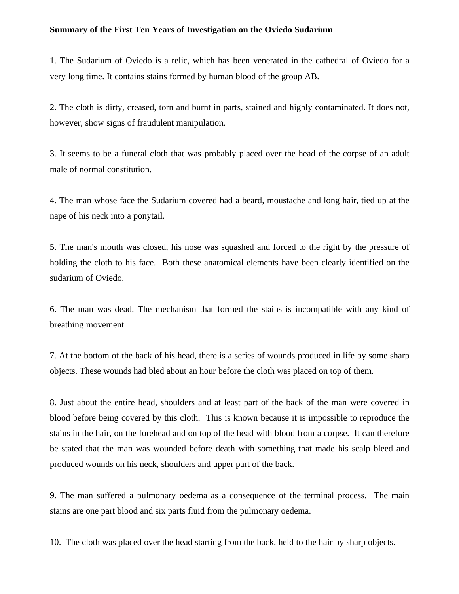#### **Summary of the First Ten Years of Investigation on the Oviedo Sudarium**

1. The Sudarium of Oviedo is a relic, which has been venerated in the cathedral of Oviedo for a very long time. It contains stains formed by human blood of the group AB.

2. The cloth is dirty, creased, torn and burnt in parts, stained and highly contaminated. It does not, however, show signs of fraudulent manipulation.

3. It seems to be a funeral cloth that was probably placed over the head of the corpse of an adult male of normal constitution.

4. The man whose face the Sudarium covered had a beard, moustache and long hair, tied up at the nape of his neck into a ponytail.

5. The man's mouth was closed, his nose was squashed and forced to the right by the pressure of holding the cloth to his face. Both these anatomical elements have been clearly identified on the sudarium of Oviedo.

6. The man was dead. The mechanism that formed the stains is incompatible with any kind of breathing movement.

7. At the bottom of the back of his head, there is a series of wounds produced in life by some sharp objects. These wounds had bled about an hour before the cloth was placed on top of them.

8. Just about the entire head, shoulders and at least part of the back of the man were covered in blood before being covered by this cloth. This is known because it is impossible to reproduce the stains in the hair, on the forehead and on top of the head with blood from a corpse. It can therefore be stated that the man was wounded before death with something that made his scalp bleed and produced wounds on his neck, shoulders and upper part of the back.

9. The man suffered a pulmonary oedema as a consequence of the terminal process. The main stains are one part blood and six parts fluid from the pulmonary oedema.

10. The cloth was placed over the head starting from the back, held to the hair by sharp objects.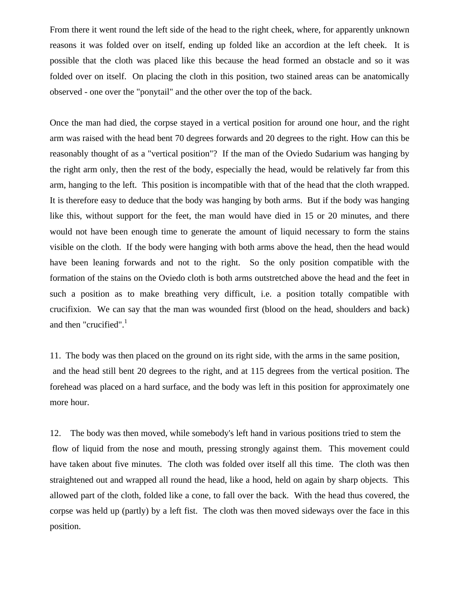From there it went round the left side of the head to the right cheek, where, for apparently unknown reasons it was folded over on itself, ending up folded like an accordion at the left cheek. It is possible that the cloth was placed like this because the head formed an obstacle and so it was folded over on itself. On placing the cloth in this position, two stained areas can be anatomically observed - one over the "ponytail" and the other over the top of the back.

Once the man had died, the corpse stayed in a vertical position for around one hour, and the right arm was raised with the head bent 70 degrees forwards and 20 degrees to the right. How can this be reasonably thought of as a "vertical position"? If the man of the Oviedo Sudarium was hanging by the right arm only, then the rest of the body, especially the head, would be relatively far from this arm, hanging to the left. This position is incompatible with that of the head that the cloth wrapped. It is therefore easy to deduce that the body was hanging by both arms. But if the body was hanging like this, without support for the feet, the man would have died in 15 or 20 minutes, and there would not have been enough time to generate the amount of liquid necessary to form the stains visible on the cloth. If the body were hanging with both arms above the head, then the head would have been leaning forwards and not to the right. So the only position compatible with the formation of the stains on the Oviedo cloth is both arms outstretched above the head and the feet in such a position as to make breathing very difficult, i.e. a position totally compatible with crucifixion. We can say that the man was wounded first (blood on the head, shoulders and back) and then "crucified". $<sup>1</sup>$ </sup>

11. The body was then placed on the ground on its right side, with the arms in the same position, and the head still bent 20 degrees to the right, and at 115 degrees from the vertical position. The forehead was placed on a hard surface, and the body was left in this position for approximately one more hour.

12. The body was then moved, while somebody's left hand in various positions tried to stem the flow of liquid from the nose and mouth, pressing strongly against them. This movement could have taken about five minutes. The cloth was folded over itself all this time. The cloth was then straightened out and wrapped all round the head, like a hood, held on again by sharp objects. This allowed part of the cloth, folded like a cone, to fall over the back. With the head thus covered, the corpse was held up (partly) by a left fist. The cloth was then moved sideways over the face in this position.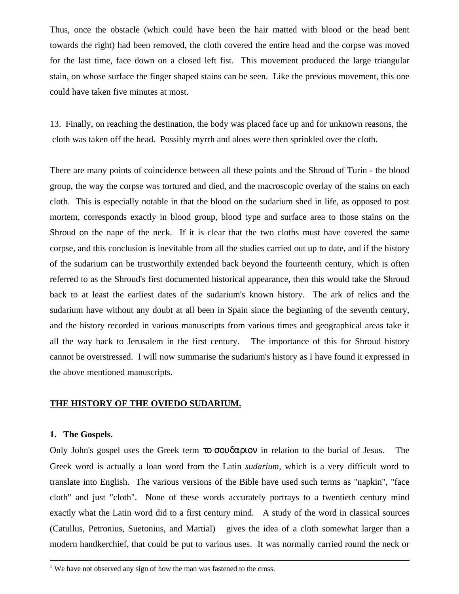Thus, once the obstacle (which could have been the hair matted with blood or the head bent towards the right) had been removed, the cloth covered the entire head and the corpse was moved for the last time, face down on a closed left fist. This movement produced the large triangular stain, on whose surface the finger shaped stains can be seen. Like the previous movement, this one could have taken five minutes at most.

13. Finally, on reaching the destination, the body was placed face up and for unknown reasons, the cloth was taken off the head. Possibly myrrh and aloes were then sprinkled over the cloth.

There are many points of coincidence between all these points and the Shroud of Turin - the blood group, the way the corpse was tortured and died, and the macroscopic overlay of the stains on each cloth. This is especially notable in that the blood on the sudarium shed in life, as opposed to post mortem, corresponds exactly in blood group, blood type and surface area to those stains on the Shroud on the nape of the neck. If it is clear that the two cloths must have covered the same corpse, and this conclusion is inevitable from all the studies carried out up to date, and if the history of the sudarium can be trustworthily extended back beyond the fourteenth century, which is often referred to as the Shroud's first documented historical appearance, then this would take the Shroud back to at least the earliest dates of the sudarium's known history. The ark of relics and the sudarium have without any doubt at all been in Spain since the beginning of the seventh century, and the history recorded in various manuscripts from various times and geographical areas take it all the way back to Jerusalem in the first century. The importance of this for Shroud history cannot be overstressed. I will now summarise the sudarium's history as I have found it expressed in the above mentioned manuscripts.

## **THE HISTORY OF THE OVIEDO SUDARIUM.**

## **1. The Gospels.**

 $\overline{a}$ 

Only John's gospel uses the Greek term το σουδαριον in relation to the burial of Jesus. The Greek word is actually a loan word from the Latin *sudarium*, which is a very difficult word to translate into English. The various versions of the Bible have used such terms as "napkin", "face cloth" and just "cloth". None of these words accurately portrays to a twentieth century mind exactly what the Latin word did to a first century mind. A study of the word in classical sources (Catullus, Petronius, Suetonius, and Martial) gives the idea of a cloth somewhat larger than a modern handkerchief, that could be put to various uses. It was normally carried round the neck or

 $1$  We have not observed any sign of how the man was fastened to the cross.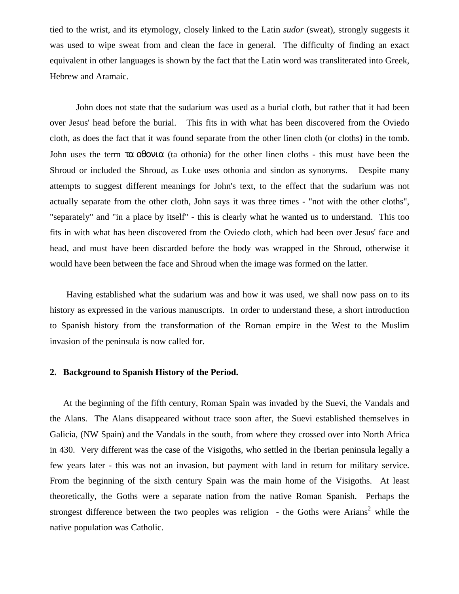tied to the wrist, and its etymology, closely linked to the Latin *sudor* (sweat), strongly suggests it was used to wipe sweat from and clean the face in general. The difficulty of finding an exact equivalent in other languages is shown by the fact that the Latin word was transliterated into Greek, Hebrew and Aramaic.

John does not state that the sudarium was used as a burial cloth, but rather that it had been over Jesus' head before the burial. This fits in with what has been discovered from the Oviedo cloth, as does the fact that it was found separate from the other linen cloth (or cloths) in the tomb. John uses the term  $\tau\alpha$  οθονια (ta othonia) for the other linen cloths - this must have been the Shroud or included the Shroud, as Luke uses othonia and sindon as synonyms. Despite many attempts to suggest different meanings for John's text, to the effect that the sudarium was not actually separate from the other cloth, John says it was three times - "not with the other cloths", "separately" and "in a place by itself" - this is clearly what he wanted us to understand. This too fits in with what has been discovered from the Oviedo cloth, which had been over Jesus' face and head, and must have been discarded before the body was wrapped in the Shroud, otherwise it would have been between the face and Shroud when the image was formed on the latter.

 Having established what the sudarium was and how it was used, we shall now pass on to its history as expressed in the various manuscripts. In order to understand these, a short introduction to Spanish history from the transformation of the Roman empire in the West to the Muslim invasion of the peninsula is now called for.

#### **2. Background to Spanish History of the Period.**

At the beginning of the fifth century, Roman Spain was invaded by the Suevi, the Vandals and the Alans. The Alans disappeared without trace soon after, the Suevi established themselves in Galicia, (NW Spain) and the Vandals in the south, from where they crossed over into North Africa in 430. Very different was the case of the Visigoths, who settled in the Iberian peninsula legally a few years later - this was not an invasion, but payment with land in return for military service. From the beginning of the sixth century Spain was the main home of the Visigoths. At least theoretically, the Goths were a separate nation from the native Roman Spanish. Perhaps the strongest difference between the two peoples was religion  $-$  the Goths were Arians<sup>2</sup> while the native population was Catholic.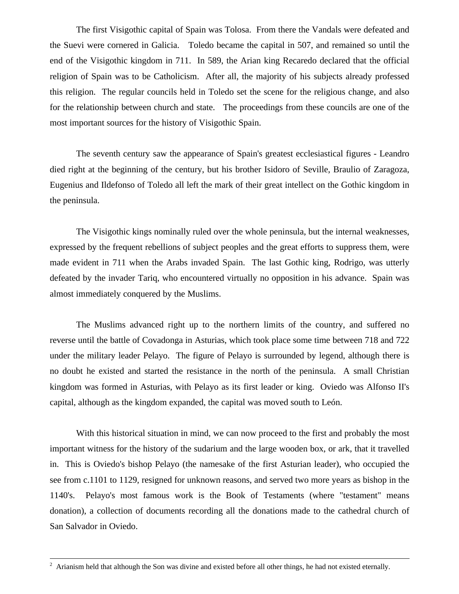The first Visigothic capital of Spain was Tolosa. From there the Vandals were defeated and the Suevi were cornered in Galicia. Toledo became the capital in 507, and remained so until the end of the Visigothic kingdom in 711. In 589, the Arian king Recaredo declared that the official religion of Spain was to be Catholicism. After all, the majority of his subjects already professed this religion. The regular councils held in Toledo set the scene for the religious change, and also for the relationship between church and state. The proceedings from these councils are one of the most important sources for the history of Visigothic Spain.

The seventh century saw the appearance of Spain's greatest ecclesiastical figures - Leandro died right at the beginning of the century, but his brother Isidoro of Seville, Braulio of Zaragoza, Eugenius and Ildefonso of Toledo all left the mark of their great intellect on the Gothic kingdom in the peninsula.

The Visigothic kings nominally ruled over the whole peninsula, but the internal weaknesses, expressed by the frequent rebellions of subject peoples and the great efforts to suppress them, were made evident in 711 when the Arabs invaded Spain. The last Gothic king, Rodrigo, was utterly defeated by the invader Tariq, who encountered virtually no opposition in his advance. Spain was almost immediately conquered by the Muslims.

The Muslims advanced right up to the northern limits of the country, and suffered no reverse until the battle of Covadonga in Asturias, which took place some time between 718 and 722 under the military leader Pelayo. The figure of Pelayo is surrounded by legend, although there is no doubt he existed and started the resistance in the north of the peninsula. A small Christian kingdom was formed in Asturias, with Pelayo as its first leader or king. Oviedo was Alfonso II's capital, although as the kingdom expanded, the capital was moved south to León.

With this historical situation in mind, we can now proceed to the first and probably the most important witness for the history of the sudarium and the large wooden box, or ark, that it travelled in. This is Oviedo's bishop Pelayo (the namesake of the first Asturian leader), who occupied the see from c.1101 to 1129, resigned for unknown reasons, and served two more years as bishop in the 1140's. Pelayo's most famous work is the Book of Testaments (where "testament" means donation), a collection of documents recording all the donations made to the cathedral church of San Salvador in Oviedo.

 $2^2$  Arianism held that although the Son was divine and existed before all other things, he had not existed eternally.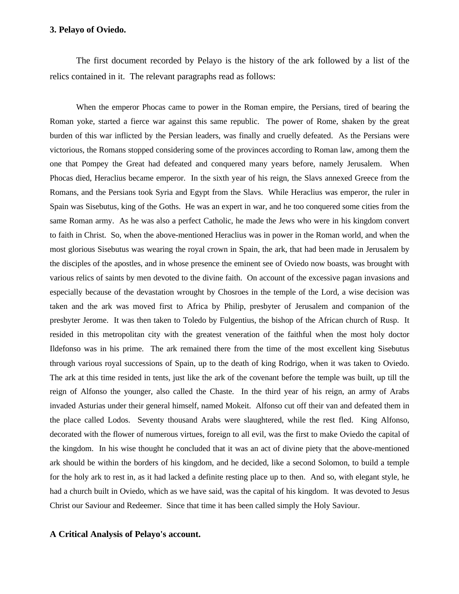#### **3. Pelayo of Oviedo.**

The first document recorded by Pelayo is the history of the ark followed by a list of the relics contained in it. The relevant paragraphs read as follows:

When the emperor Phocas came to power in the Roman empire, the Persians, tired of bearing the Roman yoke, started a fierce war against this same republic. The power of Rome, shaken by the great burden of this war inflicted by the Persian leaders, was finally and cruelly defeated. As the Persians were victorious, the Romans stopped considering some of the provinces according to Roman law, among them the one that Pompey the Great had defeated and conquered many years before, namely Jerusalem. When Phocas died, Heraclius became emperor. In the sixth year of his reign, the Slavs annexed Greece from the Romans, and the Persians took Syria and Egypt from the Slavs. While Heraclius was emperor, the ruler in Spain was Sisebutus, king of the Goths. He was an expert in war, and he too conquered some cities from the same Roman army. As he was also a perfect Catholic, he made the Jews who were in his kingdom convert to faith in Christ. So, when the above-mentioned Heraclius was in power in the Roman world, and when the most glorious Sisebutus was wearing the royal crown in Spain, the ark, that had been made in Jerusalem by the disciples of the apostles, and in whose presence the eminent see of Oviedo now boasts, was brought with various relics of saints by men devoted to the divine faith. On account of the excessive pagan invasions and especially because of the devastation wrought by Chosroes in the temple of the Lord, a wise decision was taken and the ark was moved first to Africa by Philip, presbyter of Jerusalem and companion of the presbyter Jerome. It was then taken to Toledo by Fulgentius, the bishop of the African church of Rusp. It resided in this metropolitan city with the greatest veneration of the faithful when the most holy doctor Ildefonso was in his prime. The ark remained there from the time of the most excellent king Sisebutus through various royal successions of Spain, up to the death of king Rodrigo, when it was taken to Oviedo. The ark at this time resided in tents, just like the ark of the covenant before the temple was built, up till the reign of Alfonso the younger, also called the Chaste. In the third year of his reign, an army of Arabs invaded Asturias under their general himself, named Mokeit. Alfonso cut off their van and defeated them in the place called Lodos. Seventy thousand Arabs were slaughtered, while the rest fled. King Alfonso, decorated with the flower of numerous virtues, foreign to all evil, was the first to make Oviedo the capital of the kingdom. In his wise thought he concluded that it was an act of divine piety that the above-mentioned ark should be within the borders of his kingdom, and he decided, like a second Solomon, to build a temple for the holy ark to rest in, as it had lacked a definite resting place up to then. And so, with elegant style, he had a church built in Oviedo, which as we have said, was the capital of his kingdom. It was devoted to Jesus Christ our Saviour and Redeemer. Since that time it has been called simply the Holy Saviour.

#### **A Critical Analysis of Pelayo's account.**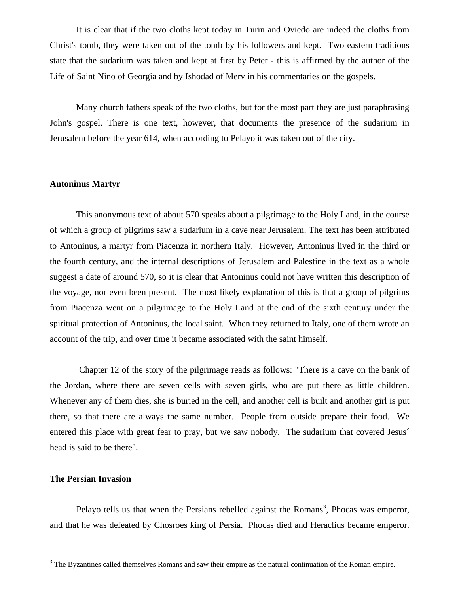It is clear that if the two cloths kept today in Turin and Oviedo are indeed the cloths from Christ's tomb, they were taken out of the tomb by his followers and kept. Two eastern traditions state that the sudarium was taken and kept at first by Peter - this is affirmed by the author of the Life of Saint Nino of Georgia and by Ishodad of Merv in his commentaries on the gospels.

Many church fathers speak of the two cloths, but for the most part they are just paraphrasing John's gospel. There is one text, however, that documents the presence of the sudarium in Jerusalem before the year 614, when according to Pelayo it was taken out of the city.

#### **Antoninus Martyr**

This anonymous text of about 570 speaks about a pilgrimage to the Holy Land, in the course of which a group of pilgrims saw a sudarium in a cave near Jerusalem. The text has been attributed to Antoninus, a martyr from Piacenza in northern Italy. However, Antoninus lived in the third or the fourth century, and the internal descriptions of Jerusalem and Palestine in the text as a whole suggest a date of around 570, so it is clear that Antoninus could not have written this description of the voyage, nor even been present. The most likely explanation of this is that a group of pilgrims from Piacenza went on a pilgrimage to the Holy Land at the end of the sixth century under the spiritual protection of Antoninus, the local saint. When they returned to Italy, one of them wrote an account of the trip, and over time it became associated with the saint himself.

 Chapter 12 of the story of the pilgrimage reads as follows: "There is a cave on the bank of the Jordan, where there are seven cells with seven girls, who are put there as little children. Whenever any of them dies, she is buried in the cell, and another cell is built and another girl is put there, so that there are always the same number. People from outside prepare their food. We entered this place with great fear to pray, but we saw nobody. The sudarium that covered Jesus´ head is said to be there".

## **The Persian Invasion**

 $\overline{a}$ 

Pelayo tells us that when the Persians rebelled against the Romans<sup>3</sup>, Phocas was emperor, and that he was defeated by Chosroes king of Persia. Phocas died and Heraclius became emperor.

 $3$  The Byzantines called themselves Romans and saw their empire as the natural continuation of the Roman empire.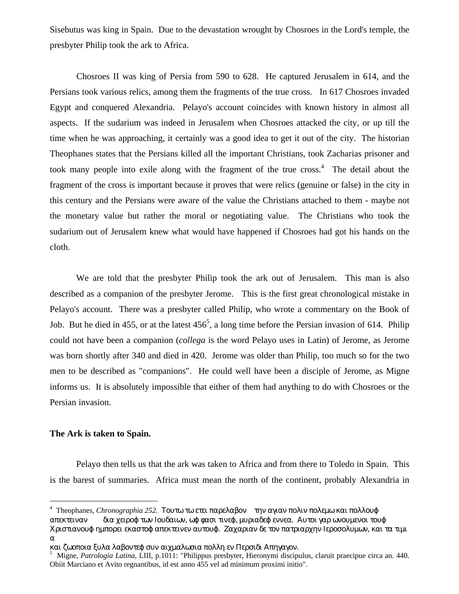Sisebutus was king in Spain. Due to the devastation wrought by Chosroes in the Lord's temple, the presbyter Philip took the ark to Africa.

Chosroes II was king of Persia from 590 to 628. He captured Jerusalem in 614, and the Persians took various relics, among them the fragments of the true cross. In 617 Chosroes invaded Egypt and conquered Alexandria. Pelayo's account coincides with known history in almost all aspects. If the sudarium was indeed in Jerusalem when Chosroes attacked the city, or up till the time when he was approaching, it certainly was a good idea to get it out of the city. The historian Theophanes states that the Persians killed all the important Christians, took Zacharias prisoner and took many people into exile along with the fragment of the true cross.<sup>4</sup> The detail about the fragment of the cross is important because it proves that were relics (genuine or false) in the city in this century and the Persians were aware of the value the Christians attached to them - maybe not the monetary value but rather the moral or negotiating value. The Christians who took the sudarium out of Jerusalem knew what would have happened if Chosroes had got his hands on the cloth.

We are told that the presbyter Philip took the ark out of Jerusalem. This man is also described as a companion of the presbyter Jerome. This is the first great chronological mistake in Pelayo's account. There was a presbyter called Philip, who wrote a commentary on the Book of Job. But he died in 455, or at the latest  $456^5$ , a long time before the Persian invasion of 614. Philip could not have been a companion (*collega* is the word Pelayo uses in Latin) of Jerome, as Jerome was born shortly after 340 and died in 420. Jerome was older than Philip, too much so for the two men to be described as "companions". He could well have been a disciple of Jerome, as Migne informs us. It is absolutely impossible that either of them had anything to do with Chosroes or the Persian invasion.

## **The Ark is taken to Spain.**

 $\overline{a}$ 

Pelayo then tells us that the ark was taken to Africa and from there to Toledo in Spain. This is the barest of summaries. Africa must mean the north of the continent, probably Alexandria in

<sup>&</sup>lt;sup>4</sup> Theophanes, *Chronographia 252*. Τουτω τω ετει παρελαβον την αγιαν πολιν πολεμω και πολλουφ απεκτειναν δια χειροφ των Ιουδαιων, ωφ φασι τινεφ, μυριαδεφ εννεα. Αυτοι γαρ ωνουμενοι τουφ Χριστιανουφ ημπορει εκαστοφ απεκτεινεν αυτουφ. Ζαχαριαν δε τον πατριαρχην Ιεροσολυμων, και τα τιμι α

και ζωοποια ξυλα λαβοντεφ συν αιχμαλωσια πολλη εν Περσιδι Απηγαγον.

<sup>5</sup> Migne, *Patrologia Latina*, LIII, p.1011: "Philippus presbyter, Hieronymi discipulus, claruit praecipue circa an. 440. Obiit Marciano et Avito regnantibus, id est anno 455 vel ad minimum proximi initio".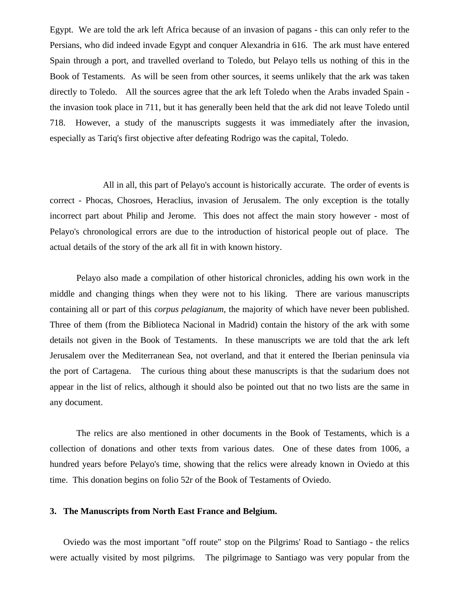Egypt. We are told the ark left Africa because of an invasion of pagans - this can only refer to the Persians, who did indeed invade Egypt and conquer Alexandria in 616. The ark must have entered Spain through a port, and travelled overland to Toledo, but Pelayo tells us nothing of this in the Book of Testaments. As will be seen from other sources, it seems unlikely that the ark was taken directly to Toledo. All the sources agree that the ark left Toledo when the Arabs invaded Spain the invasion took place in 711, but it has generally been held that the ark did not leave Toledo until 718. However, a study of the manuscripts suggests it was immediately after the invasion, especially as Tariq's first objective after defeating Rodrigo was the capital, Toledo.

All in all, this part of Pelayo's account is historically accurate. The order of events is correct - Phocas, Chosroes, Heraclius, invasion of Jerusalem. The only exception is the totally incorrect part about Philip and Jerome. This does not affect the main story however - most of Pelayo's chronological errors are due to the introduction of historical people out of place. The actual details of the story of the ark all fit in with known history.

Pelayo also made a compilation of other historical chronicles, adding his own work in the middle and changing things when they were not to his liking. There are various manuscripts containing all or part of this *corpus pelagianum*, the majority of which have never been published. Three of them (from the Biblioteca Nacional in Madrid) contain the history of the ark with some details not given in the Book of Testaments. In these manuscripts we are told that the ark left Jerusalem over the Mediterranean Sea, not overland, and that it entered the Iberian peninsula via the port of Cartagena. The curious thing about these manuscripts is that the sudarium does not appear in the list of relics, although it should also be pointed out that no two lists are the same in any document.

The relics are also mentioned in other documents in the Book of Testaments, which is a collection of donations and other texts from various dates. One of these dates from 1006, a hundred years before Pelayo's time, showing that the relics were already known in Oviedo at this time. This donation begins on folio 52r of the Book of Testaments of Oviedo.

## **3. The Manuscripts from North East France and Belgium.**

Oviedo was the most important "off route" stop on the Pilgrims' Road to Santiago - the relics were actually visited by most pilgrims. The pilgrimage to Santiago was very popular from the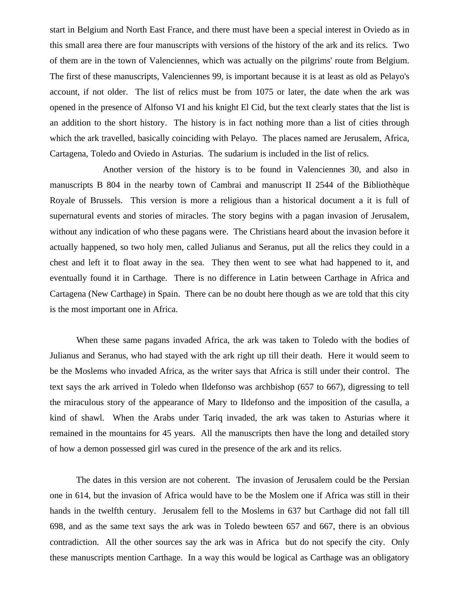start in Belgium and North East France, and there must have been a special interest in Oviedo as in this small area there are four manuscripts with versions of the history of the ark and its relics. Two of them are in the town of Valenciennes, which was actually on the pilgrims' route from Belgium. The first of these manuscripts, Valenciennes 99, is important because it is at least as old as Pelayo's account, if not older. The list of relics must be from 1075 or later, the date when the ark was opened in the presence of Alfonso VI and his knight El Cid, but the text clearly states that the list is an addition to the short history. The history is in fact nothing more than a list of cities through which the ark travelled, basically coinciding with Pelayo. The places named are Jerusalem, Africa, Cartagena, Toledo and Oviedo in Asturias. The sudarium is included in the list of relics.

Another version of the history is to be found in Valenciennes 30, and also in manuscripts B 804 in the nearby town of Cambrai and manuscript II 2544 of the Bibliothèque Royale of Brussels. This version is more a religious than a historical document a it is full of supernatural events and stories of miracles. The story begins with a pagan invasion of Jerusalem, without any indication of who these pagans were. The Christians heard about the invasion before it actually happened, so two holy men, called Julianus and Seranus, put all the relics they could in a chest and left it to float away in the sea. They then went to see what had happened to it, and eventually found it in Carthage. There is no difference in Latin between Carthage in Africa and Cartagena (New Carthage) in Spain. There can be no doubt here though as we are told that this city is the most important one in Africa.

When these same pagans invaded Africa, the ark was taken to Toledo with the bodies of Julianus and Seranus, who had stayed with the ark right up till their death. Here it would seem to be the Moslems who invaded Africa, as the writer says that Africa is still under their control. The text says the ark arrived in Toledo when Ildefonso was archbishop (657 to 667), digressing to tell the miraculous story of the appearance of Mary to Ildefonso and the imposition of the casulla, a kind of shawl. When the Arabs under Tariq invaded, the ark was taken to Asturias where it remained in the mountains for 45 years. All the manuscripts then have the long and detailed story of how a demon possessed girl was cured in the presence of the ark and its relics.

The dates in this version are not coherent. The invasion of Jerusalem could be the Persian one in 614, but the invasion of Africa would have to be the Moslem one if Africa was still in their hands in the twelfth century. Jerusalem fell to the Moslems in 637 but Carthage did not fall till 698, and as the same text says the ark was in Toledo bewteen 657 and 667, there is an obvious contradiction. All the other sources say the ark was in Africa but do not specify the city. Only these manuscripts mention Carthage. In a way this would be logical as Carthage was an obligatory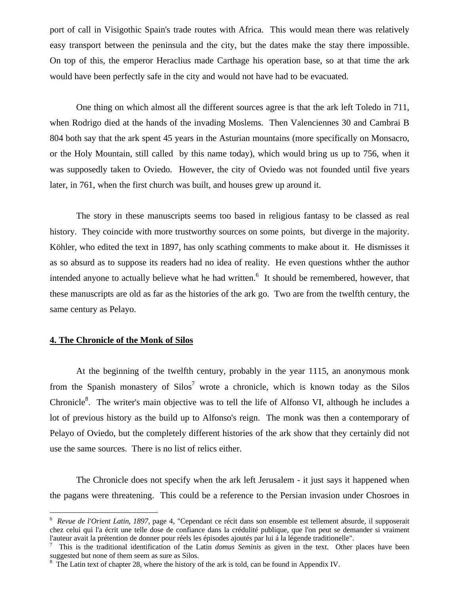port of call in Visigothic Spain's trade routes with Africa. This would mean there was relatively easy transport between the peninsula and the city, but the dates make the stay there impossible. On top of this, the emperor Heraclius made Carthage his operation base, so at that time the ark would have been perfectly safe in the city and would not have had to be evacuated.

One thing on which almost all the different sources agree is that the ark left Toledo in 711, when Rodrigo died at the hands of the invading Moslems. Then Valenciennes 30 and Cambrai B 804 both say that the ark spent 45 years in the Asturian mountains (more specifically on Monsacro, or the Holy Mountain, still called by this name today), which would bring us up to 756, when it was supposedly taken to Oviedo. However, the city of Oviedo was not founded until five years later, in 761, when the first church was built, and houses grew up around it.

The story in these manuscripts seems too based in religious fantasy to be classed as real history. They coincide with more trustworthy sources on some points, but diverge in the majority. Köhler, who edited the text in 1897, has only scathing comments to make about it. He dismisses it as so absurd as to suppose its readers had no idea of reality. He even questions whther the author intended anyone to actually believe what he had written.<sup>6</sup> It should be remembered, however, that these manuscripts are old as far as the histories of the ark go. Two are from the twelfth century, the same century as Pelayo.

## **4. The Chronicle of the Monk of Silos**

 $\overline{a}$ 

At the beginning of the twelfth century, probably in the year 1115, an anonymous monk from the Spanish monastery of  $\text{Silos}^7$  wrote a chronicle, which is known today as the Silos Chronicle<sup>8</sup>. The writer's main objective was to tell the life of Alfonso VI, although he includes a lot of previous history as the build up to Alfonso's reign. The monk was then a contemporary of Pelayo of Oviedo, but the completely different histories of the ark show that they certainly did not use the same sources. There is no list of relics either.

The Chronicle does not specify when the ark left Jerusalem - it just says it happened when the pagans were threatening. This could be a reference to the Persian invasion under Chosroes in

<sup>6</sup> *Revue de l'Orient Latin, 1897,* page 4, "Cependant ce récit dans son ensemble est tellement absurde, il supposerait chez celui qui l'a écrit une telle dose de confiance dans la crédulité publique, que l'on peut se demander si vraiment l'auteur avait la prétention de donner pour réels les épisodes ajoutés par lui á la légende traditionelle".

<sup>7</sup> This is the traditional identification of the Latin *domus Seminis* as given in the text. Other places have been suggested but none of them seem as sure as Silos.

<sup>&</sup>lt;sup>8</sup> The Latin text of chapter 28, where the history of the ark is told, can be found in Appendix IV.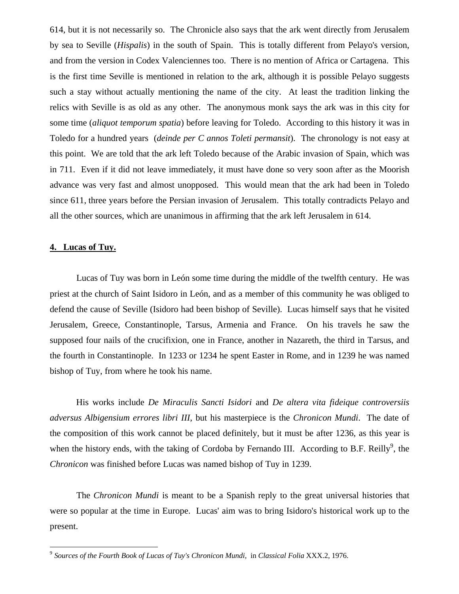614, but it is not necessarily so. The Chronicle also says that the ark went directly from Jerusalem by sea to Seville (*Hispalis*) in the south of Spain. This is totally different from Pelayo's version, and from the version in Codex Valenciennes too. There is no mention of Africa or Cartagena. This is the first time Seville is mentioned in relation to the ark, although it is possible Pelayo suggests such a stay without actually mentioning the name of the city. At least the tradition linking the relics with Seville is as old as any other. The anonymous monk says the ark was in this city for some time (*aliquot temporum spatia*) before leaving for Toledo. According to this history it was in Toledo for a hundred years (*deinde per C annos Toleti permansit*). The chronology is not easy at this point. We are told that the ark left Toledo because of the Arabic invasion of Spain, which was in 711. Even if it did not leave immediately, it must have done so very soon after as the Moorish advance was very fast and almost unopposed. This would mean that the ark had been in Toledo since 611, three years before the Persian invasion of Jerusalem. This totally contradicts Pelayo and all the other sources, which are unanimous in affirming that the ark left Jerusalem in 614.

# **4. Lucas of Tuy.**

Lucas of Tuy was born in León some time during the middle of the twelfth century. He was priest at the church of Saint Isidoro in León, and as a member of this community he was obliged to defend the cause of Seville (Isidoro had been bishop of Seville). Lucas himself says that he visited Jerusalem, Greece, Constantinople, Tarsus, Armenia and France. On his travels he saw the supposed four nails of the crucifixion, one in France, another in Nazareth, the third in Tarsus, and the fourth in Constantinople. In 1233 or 1234 he spent Easter in Rome, and in 1239 he was named bishop of Tuy, from where he took his name.

His works include *De Miraculis Sancti Isidori* and *De altera vita fideique controversiis adversus Albigensium errores libri III*, but his masterpiece is the *Chronicon Mundi*. The date of the composition of this work cannot be placed definitely, but it must be after 1236, as this year is when the history ends, with the taking of Cordoba by Fernando III. According to B.F. Reilly<sup>9</sup>, the *Chronicon* was finished before Lucas was named bishop of Tuy in 1239.

The *Chronicon Mundi* is meant to be a Spanish reply to the great universal histories that were so popular at the time in Europe. Lucas' aim was to bring Isidoro's historical work up to the present.

 9 *Sources of the Fourth Book of Lucas of Tuy's Chronicon Mundi,* in *Classical Folia* XXX.2, 1976.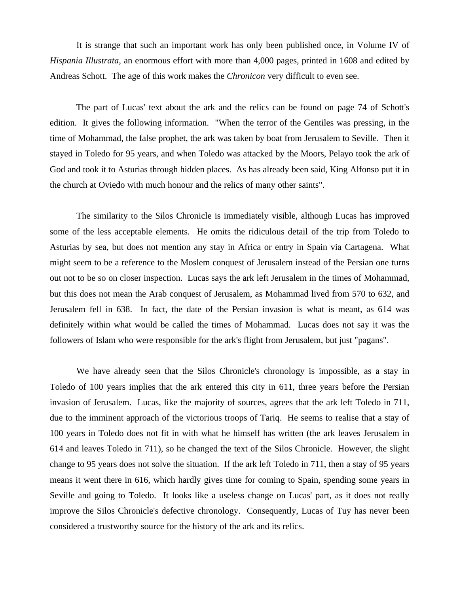It is strange that such an important work has only been published once, in Volume IV of *Hispania Illustrata*, an enormous effort with more than 4,000 pages, printed in 1608 and edited by Andreas Schott. The age of this work makes the *Chronicon* very difficult to even see.

The part of Lucas' text about the ark and the relics can be found on page 74 of Schott's edition. It gives the following information. "When the terror of the Gentiles was pressing, in the time of Mohammad, the false prophet, the ark was taken by boat from Jerusalem to Seville. Then it stayed in Toledo for 95 years, and when Toledo was attacked by the Moors, Pelayo took the ark of God and took it to Asturias through hidden places. As has already been said, King Alfonso put it in the church at Oviedo with much honour and the relics of many other saints".

The similarity to the Silos Chronicle is immediately visible, although Lucas has improved some of the less acceptable elements. He omits the ridiculous detail of the trip from Toledo to Asturias by sea, but does not mention any stay in Africa or entry in Spain via Cartagena. What might seem to be a reference to the Moslem conquest of Jerusalem instead of the Persian one turns out not to be so on closer inspection. Lucas says the ark left Jerusalem in the times of Mohammad, but this does not mean the Arab conquest of Jerusalem, as Mohammad lived from 570 to 632, and Jerusalem fell in 638. In fact, the date of the Persian invasion is what is meant, as 614 was definitely within what would be called the times of Mohammad. Lucas does not say it was the followers of Islam who were responsible for the ark's flight from Jerusalem, but just "pagans".

We have already seen that the Silos Chronicle's chronology is impossible, as a stay in Toledo of 100 years implies that the ark entered this city in 611, three years before the Persian invasion of Jerusalem. Lucas, like the majority of sources, agrees that the ark left Toledo in 711, due to the imminent approach of the victorious troops of Tariq. He seems to realise that a stay of 100 years in Toledo does not fit in with what he himself has written (the ark leaves Jerusalem in 614 and leaves Toledo in 711), so he changed the text of the Silos Chronicle. However, the slight change to 95 years does not solve the situation. If the ark left Toledo in 711, then a stay of 95 years means it went there in 616, which hardly gives time for coming to Spain, spending some years in Seville and going to Toledo. It looks like a useless change on Lucas' part, as it does not really improve the Silos Chronicle's defective chronology. Consequently, Lucas of Tuy has never been considered a trustworthy source for the history of the ark and its relics.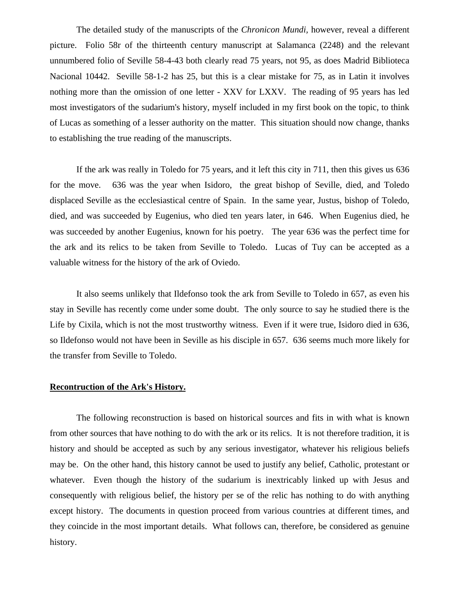The detailed study of the manuscripts of the *Chronicon Mundi,* however, reveal a different picture. Folio 58r of the thirteenth century manuscript at Salamanca (2248) and the relevant unnumbered folio of Seville 58-4-43 both clearly read 75 years, not 95, as does Madrid Biblioteca Nacional 10442. Seville 58-1-2 has 25, but this is a clear mistake for 75, as in Latin it involves nothing more than the omission of one letter - XXV for LXXV. The reading of 95 years has led most investigators of the sudarium's history, myself included in my first book on the topic, to think of Lucas as something of a lesser authority on the matter. This situation should now change, thanks to establishing the true reading of the manuscripts.

If the ark was really in Toledo for 75 years, and it left this city in 711, then this gives us 636 for the move. 636 was the year when Isidoro, the great bishop of Seville, died, and Toledo displaced Seville as the ecclesiastical centre of Spain. In the same year, Justus, bishop of Toledo, died, and was succeeded by Eugenius, who died ten years later, in 646. When Eugenius died, he was succeeded by another Eugenius, known for his poetry. The year 636 was the perfect time for the ark and its relics to be taken from Seville to Toledo. Lucas of Tuy can be accepted as a valuable witness for the history of the ark of Oviedo.

It also seems unlikely that Ildefonso took the ark from Seville to Toledo in 657, as even his stay in Seville has recently come under some doubt. The only source to say he studied there is the Life by Cixila, which is not the most trustworthy witness. Even if it were true, Isidoro died in 636, so Ildefonso would not have been in Seville as his disciple in 657. 636 seems much more likely for the transfer from Seville to Toledo.

#### **Recontruction of the Ark's History.**

The following reconstruction is based on historical sources and fits in with what is known from other sources that have nothing to do with the ark or its relics. It is not therefore tradition, it is history and should be accepted as such by any serious investigator, whatever his religious beliefs may be. On the other hand, this history cannot be used to justify any belief, Catholic, protestant or whatever. Even though the history of the sudarium is inextricably linked up with Jesus and consequently with religious belief, the history per se of the relic has nothing to do with anything except history. The documents in question proceed from various countries at different times, and they coincide in the most important details. What follows can, therefore, be considered as genuine history.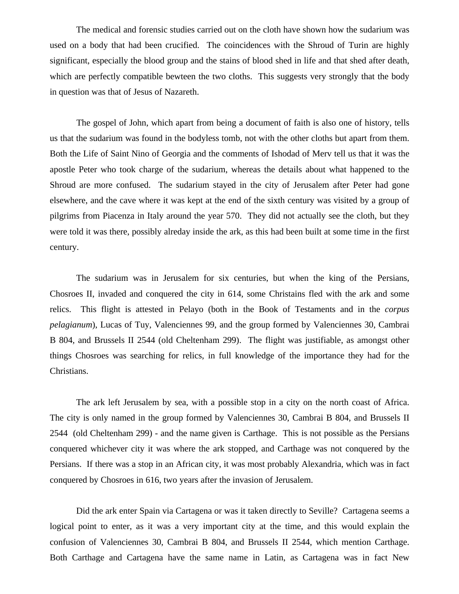The medical and forensic studies carried out on the cloth have shown how the sudarium was used on a body that had been crucified. The coincidences with the Shroud of Turin are highly significant, especially the blood group and the stains of blood shed in life and that shed after death, which are perfectly compatible bewteen the two cloths. This suggests very strongly that the body in question was that of Jesus of Nazareth.

The gospel of John, which apart from being a document of faith is also one of history, tells us that the sudarium was found in the bodyless tomb, not with the other cloths but apart from them. Both the Life of Saint Nino of Georgia and the comments of Ishodad of Merv tell us that it was the apostle Peter who took charge of the sudarium, whereas the details about what happened to the Shroud are more confused. The sudarium stayed in the city of Jerusalem after Peter had gone elsewhere, and the cave where it was kept at the end of the sixth century was visited by a group of pilgrims from Piacenza in Italy around the year 570. They did not actually see the cloth, but they were told it was there, possibly alreday inside the ark, as this had been built at some time in the first century.

The sudarium was in Jerusalem for six centuries, but when the king of the Persians, Chosroes II, invaded and conquered the city in 614, some Christains fled with the ark and some relics. This flight is attested in Pelayo (both in the Book of Testaments and in the *corpus pelagianum*), Lucas of Tuy, Valenciennes 99, and the group formed by Valenciennes 30, Cambrai B 804, and Brussels II 2544 (old Cheltenham 299). The flight was justifiable, as amongst other things Chosroes was searching for relics, in full knowledge of the importance they had for the Christians.

The ark left Jerusalem by sea, with a possible stop in a city on the north coast of Africa. The city is only named in the group formed by Valenciennes 30, Cambrai B 804, and Brussels II 2544 (old Cheltenham 299) - and the name given is Carthage. This is not possible as the Persians conquered whichever city it was where the ark stopped, and Carthage was not conquered by the Persians. If there was a stop in an African city, it was most probably Alexandria, which was in fact conquered by Chosroes in 616, two years after the invasion of Jerusalem.

Did the ark enter Spain via Cartagena or was it taken directly to Seville? Cartagena seems a logical point to enter, as it was a very important city at the time, and this would explain the confusion of Valenciennes 30, Cambrai B 804, and Brussels II 2544, which mention Carthage. Both Carthage and Cartagena have the same name in Latin, as Cartagena was in fact New